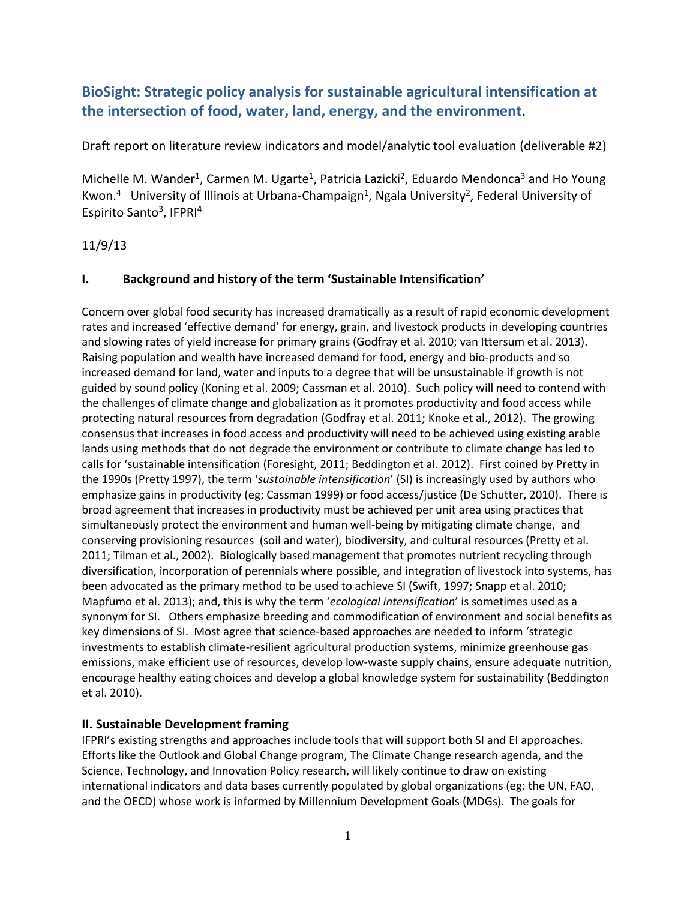# **BioSight: Strategic policy analysis for sustainable agricultural intensification at the intersection of food, water, land, energy, and the environment.**

Draft report on literature review indicators and model/analytic tool evaluation (deliverable #2)

Michelle M. Wander<sup>1</sup>, Carmen M. Ugarte<sup>1</sup>, Patricia Lazicki<sup>2</sup>, Eduardo Mendonca<sup>3</sup> and Ho Young Kwon.<sup>4</sup> University of Illinois at Urbana-Champaign<sup>1</sup>, Ngala University<sup>2</sup>, Federal University of Espirito Santo<sup>3</sup>, IFPRI<sup>4</sup>

# 11/9/13

# **I. Background and history of the term 'Sustainable Intensification'**

Concern over global food security has increased dramatically as a result of rapid economic development rates and increased 'effective demand' for energy, grain, and livestock products in developing countries and slowing rates of yield increase for primary grains (Godfray et al. 2010; van Ittersum et al. 2013). Raising population and wealth have increased demand for food, energy and bio-products and so increased demand for land, water and inputs to a degree that will be unsustainable if growth is not guided by sound policy (Koning et al. 2009; Cassman et al. 2010). Such policy will need to contend with the challenges of climate change and globalization as it promotes productivity and food access while protecting natural resources from degradation (Godfray et al. 2011; Knoke et al., 2012). The growing consensus that increases in food access and productivity will need to be achieved using existing arable lands using methods that do not degrade the environment or contribute to climate change has led to calls for 'sustainable intensification (Foresight, 2011; Beddington et al. 2012). First coined by Pretty in the 1990s (Pretty 1997), the term '*sustainable intensification*' (SI) is increasingly used by authors who emphasize gains in productivity (eg; Cassman 1999) or food access/justice (De Schutter, 2010). There is broad agreement that increases in productivity must be achieved per unit area using practices that simultaneously protect the environment and human well-being by mitigating climate change, and conserving provisioning resources (soil and water), biodiversity, and cultural resources (Pretty et al. 2011; Tilman et al., 2002). Biologically based management that promotes nutrient recycling through diversification, incorporation of perennials where possible, and integration of livestock into systems, has been advocated as the primary method to be used to achieve SI (Swift, 1997; Snapp et al. 2010; Mapfumo et al. 2013); and, this is why the term '*ecological intensification*' is sometimes used as a synonym for SI. Others emphasize breeding and commodification of environment and social benefits as key dimensions of SI. Most agree that science-based approaches are needed to inform 'strategic investments to establish climate-resilient agricultural production systems, minimize greenhouse gas emissions, make efficient use of resources, develop low-waste supply chains, ensure adequate nutrition, encourage healthy eating choices and develop a global knowledge system for sustainability (Beddington et al. 2010).

## **II. Sustainable Development framing**

IFPRI's existing strengths and approaches include tools that will support both SI and EI approaches. Efforts like the Outlook and Global Change program, The Climate Change research agenda, and the Science, Technology, and Innovation Policy research, will likely continue to draw on existing international indicators and data bases currently populated by global organizations (eg: the UN, FAO, and the OECD) whose work is informed by Millennium Development Goals (MDGs). The goals for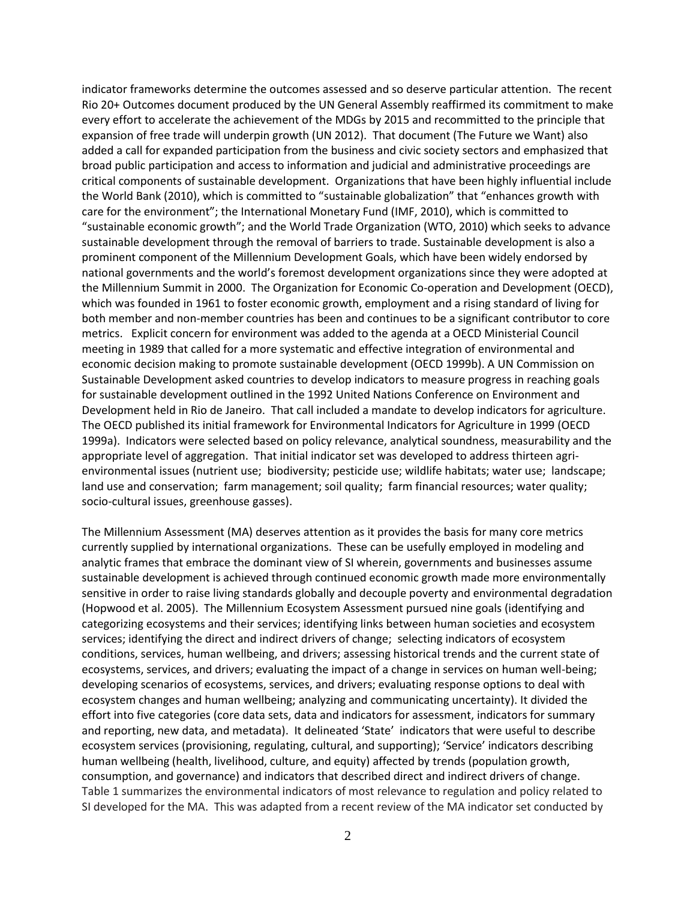indicator frameworks determine the outcomes assessed and so deserve particular attention. The recent Rio 20+ Outcomes document produced by the UN General Assembly reaffirmed its commitment to make every effort to accelerate the achievement of the MDGs by 2015 and recommitted to the principle that expansion of free trade will underpin growth (UN 2012). That document (The Future we Want) also added a call for expanded participation from the business and civic society sectors and emphasized that broad public participation and access to information and judicial and administrative proceedings are critical components of sustainable development. Organizations that have been highly influential include the World Bank (2010), which is committed to "sustainable globalization" that "enhances growth with care for the environment"; the International Monetary Fund (IMF, 2010), which is committed to "sustainable economic growth"; and the World Trade Organization (WTO, 2010) which seeks to advance sustainable development through the removal of barriers to trade. Sustainable development is also a prominent component of the Millennium Development Goals, which have been widely endorsed by national governments and the world's foremost development organizations since they were adopted at the Millennium Summit in 2000. The Organization for Economic Co-operation and Development (OECD), which was founded in 1961 to foster economic growth, employment and a rising standard of living for both member and non-member countries has been and continues to be a significant contributor to core metrics. Explicit concern for environment was added to the agenda at a OECD Ministerial Council meeting in 1989 that called for a more systematic and effective integration of environmental and economic decision making to promote sustainable development (OECD 1999b). A UN Commission on Sustainable Development asked countries to develop indicators to measure progress in reaching goals for sustainable development outlined in the 1992 United Nations Conference on Environment and Development held in Rio de Janeiro. That call included a mandate to develop indicators for agriculture. The OECD published its initial framework for Environmental Indicators for Agriculture in 1999 (OECD 1999a). Indicators were selected based on policy relevance, analytical soundness, measurability and the appropriate level of aggregation. That initial indicator set was developed to address thirteen agrienvironmental issues (nutrient use; biodiversity; pesticide use; wildlife habitats; water use; landscape; land use and conservation; farm management; soil quality; farm financial resources; water quality; socio-cultural issues, greenhouse gasses).

The Millennium Assessment (MA) deserves attention as it provides the basis for many core metrics currently supplied by international organizations. These can be usefully employed in modeling and analytic frames that embrace the dominant view of SI wherein, governments and businesses assume sustainable development is achieved through continued economic growth made more environmentally sensitive in order to raise living standards globally and decouple poverty and environmental degradation (Hopwood et al. 2005). The Millennium Ecosystem Assessment pursued nine goals (identifying and categorizing ecosystems and their services; identifying links between human societies and ecosystem services; identifying the direct and indirect drivers of change; selecting indicators of ecosystem conditions, services, human wellbeing, and drivers; assessing historical trends and the current state of ecosystems, services, and drivers; evaluating the impact of a change in services on human well-being; developing scenarios of ecosystems, services, and drivers; evaluating response options to deal with ecosystem changes and human wellbeing; analyzing and communicating uncertainty). It divided the effort into five categories (core data sets, data and indicators for assessment, indicators for summary and reporting, new data, and metadata). It delineated 'State' indicators that were useful to describe ecosystem services (provisioning, regulating, cultural, and supporting); 'Service' indicators describing human wellbeing (health, livelihood, culture, and equity) affected by trends (population growth, consumption, and governance) and indicators that described direct and indirect drivers of change. Table 1 summarizes the environmental indicators of most relevance to regulation and policy related to SI developed for the MA. This was adapted from a recent review of the MA indicator set conducted by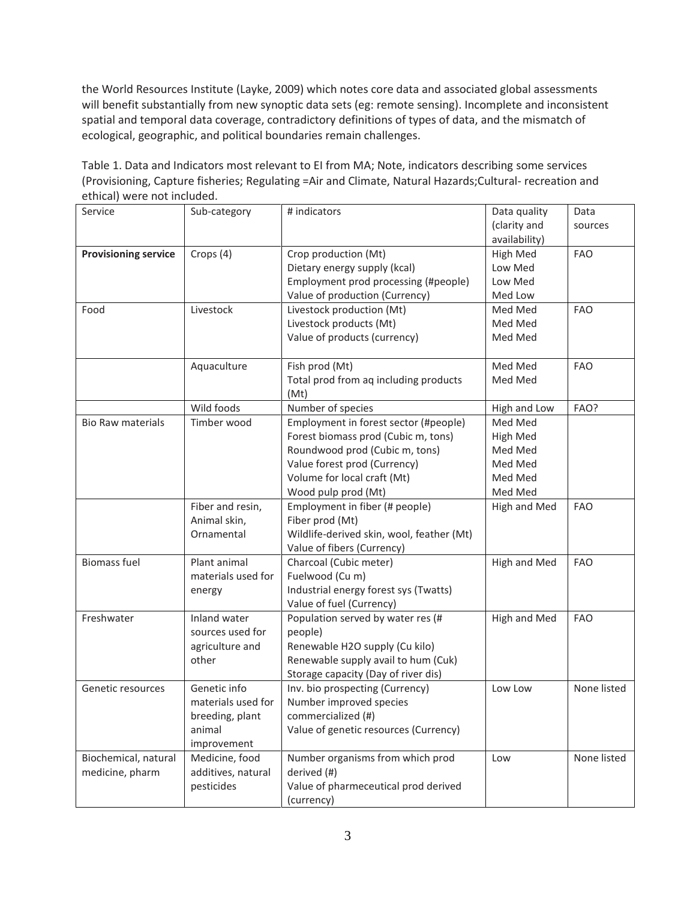the World Resources Institute (Layke, 2009) which notes core data and associated global assessments will benefit substantially from new synoptic data sets (eg: remote sensing). Incomplete and inconsistent spatial and temporal data coverage, contradictory definitions of types of data, and the mismatch of ecological, geographic, and political boundaries remain challenges.

Table 1. Data and Indicators most relevant to EI from MA; Note, indicators describing some services (Provisioning, Capture fisheries; Regulating =Air and Climate, Natural Hazards;Cultural- recreation and ethical) were not included.

| Service                     | Sub-category       | # indicators                              | Data quality  | Data        |
|-----------------------------|--------------------|-------------------------------------------|---------------|-------------|
|                             |                    |                                           | (clarity and  | sources     |
|                             |                    |                                           | availability) |             |
| <b>Provisioning service</b> | Crops (4)          | Crop production (Mt)                      | High Med      | <b>FAO</b>  |
|                             |                    | Dietary energy supply (kcal)              | Low Med       |             |
|                             |                    | Employment prod processing (#people)      | Low Med       |             |
|                             |                    | Value of production (Currency)            | Med Low       |             |
| Food                        | Livestock          | Livestock production (Mt)                 | Med Med       | <b>FAO</b>  |
|                             |                    | Livestock products (Mt)                   | Med Med       |             |
|                             |                    | Value of products (currency)              | Med Med       |             |
|                             | Aquaculture        | Fish prod (Mt)                            | Med Med       | <b>FAO</b>  |
|                             |                    | Total prod from aq including products     | Med Med       |             |
|                             |                    | (Mt)                                      |               |             |
|                             | Wild foods         | Number of species                         | High and Low  | FAO?        |
| <b>Bio Raw materials</b>    | Timber wood        | Employment in forest sector (#people)     | Med Med       |             |
|                             |                    | Forest biomass prod (Cubic m, tons)       | High Med      |             |
|                             |                    | Roundwood prod (Cubic m, tons)            | Med Med       |             |
|                             |                    | Value forest prod (Currency)              | Med Med       |             |
|                             |                    | Volume for local craft (Mt)               | Med Med       |             |
|                             |                    | Wood pulp prod (Mt)                       | Med Med       |             |
|                             | Fiber and resin,   | Employment in fiber (# people)            | High and Med  | <b>FAO</b>  |
|                             | Animal skin,       | Fiber prod (Mt)                           |               |             |
|                             | Ornamental         | Wildlife-derived skin, wool, feather (Mt) |               |             |
|                             |                    | Value of fibers (Currency)                |               |             |
| <b>Biomass fuel</b>         | Plant animal       | Charcoal (Cubic meter)                    | High and Med  | <b>FAO</b>  |
|                             | materials used for | Fuelwood (Cu m)                           |               |             |
|                             | energy             | Industrial energy forest sys (Twatts)     |               |             |
|                             |                    | Value of fuel (Currency)                  |               |             |
| Freshwater                  | Inland water       | Population served by water res (#         | High and Med  | <b>FAO</b>  |
|                             | sources used for   | people)                                   |               |             |
|                             | agriculture and    | Renewable H2O supply (Cu kilo)            |               |             |
|                             | other              | Renewable supply avail to hum (Cuk)       |               |             |
|                             |                    | Storage capacity (Day of river dis)       |               |             |
| Genetic resources           | Genetic info       | Inv. bio prospecting (Currency)           | Low Low       | None listed |
|                             | materials used for | Number improved species                   |               |             |
|                             | breeding, plant    | commercialized (#)                        |               |             |
|                             | animal             | Value of genetic resources (Currency)     |               |             |
|                             | improvement        |                                           |               |             |
| Biochemical, natural        | Medicine, food     | Number organisms from which prod          | Low           | None listed |
| medicine, pharm             | additives, natural | derived (#)                               |               |             |
|                             | pesticides         | Value of pharmeceutical prod derived      |               |             |
|                             |                    | (currency)                                |               |             |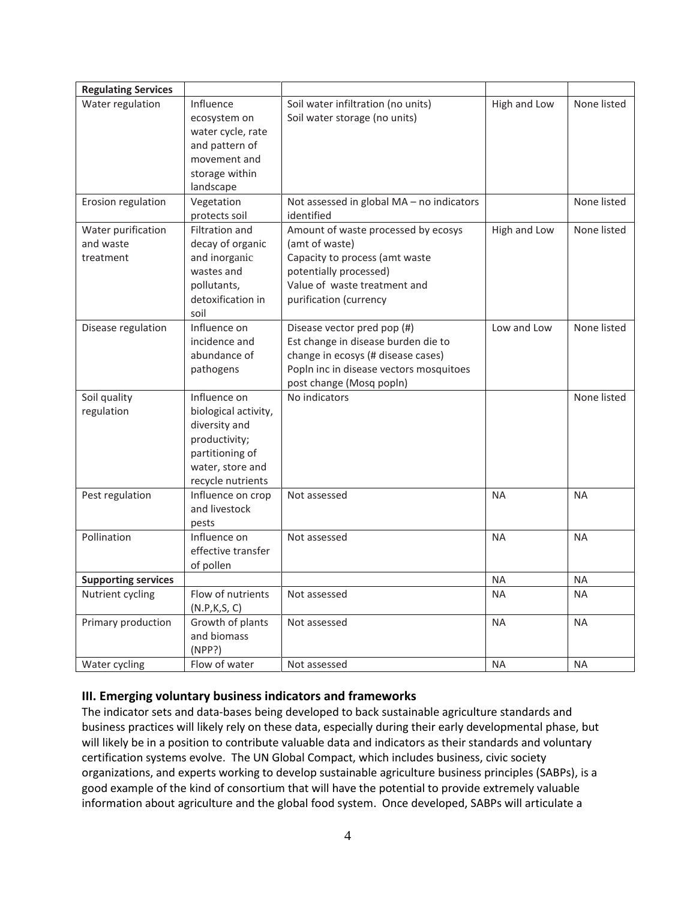| <b>Regulating Services</b>                   |                                                                                                                                    |                                                                                                                                                                                 |              |             |
|----------------------------------------------|------------------------------------------------------------------------------------------------------------------------------------|---------------------------------------------------------------------------------------------------------------------------------------------------------------------------------|--------------|-------------|
| Water regulation                             | Influence<br>ecosystem on<br>water cycle, rate<br>and pattern of<br>movement and<br>storage within<br>landscape                    | Soil water infiltration (no units)<br>Soil water storage (no units)                                                                                                             | High and Low | None listed |
| Erosion regulation                           | Vegetation<br>protects soil                                                                                                        | Not assessed in global MA - no indicators<br>identified                                                                                                                         |              | None listed |
| Water purification<br>and waste<br>treatment | Filtration and<br>decay of organic<br>and inorganic<br>wastes and<br>pollutants,<br>detoxification in<br>soil                      | Amount of waste processed by ecosys<br>(amt of waste)<br>Capacity to process (amt waste<br>potentially processed)<br>Value of waste treatment and<br>purification (currency     | High and Low | None listed |
| Disease regulation                           | Influence on<br>incidence and<br>abundance of<br>pathogens                                                                         | Disease vector pred pop (#)<br>Est change in disease burden die to<br>change in ecosys (# disease cases)<br>Popln inc in disease vectors mosquitoes<br>post change (Mosq popln) | Low and Low  | None listed |
| Soil quality<br>regulation                   | Influence on<br>biological activity,<br>diversity and<br>productivity;<br>partitioning of<br>water, store and<br>recycle nutrients | No indicators                                                                                                                                                                   |              | None listed |
| Pest regulation                              | Influence on crop<br>and livestock<br>pests                                                                                        | Not assessed                                                                                                                                                                    | <b>NA</b>    | <b>NA</b>   |
| Pollination                                  | Influence on<br>effective transfer<br>of pollen                                                                                    | Not assessed                                                                                                                                                                    | <b>NA</b>    | <b>NA</b>   |
| <b>Supporting services</b>                   |                                                                                                                                    |                                                                                                                                                                                 | <b>NA</b>    | <b>NA</b>   |
| Nutrient cycling                             | Flow of nutrients<br>(N.P,K,S,C)                                                                                                   | Not assessed                                                                                                                                                                    | <b>NA</b>    | <b>NA</b>   |
| Primary production                           | Growth of plants<br>and biomass<br>(NPP?)                                                                                          | Not assessed                                                                                                                                                                    | <b>NA</b>    | <b>NA</b>   |
| Water cycling                                | Flow of water                                                                                                                      | Not assessed                                                                                                                                                                    | <b>NA</b>    | <b>NA</b>   |

## **III. Emerging voluntary business indicators and frameworks**

The indicator sets and data-bases being developed to back sustainable agriculture standards and business practices will likely rely on these data, especially during their early developmental phase, but will likely be in a position to contribute valuable data and indicators as their standards and voluntary certification systems evolve. The UN Global Compact, which includes business, civic society organizations, and experts working to develop sustainable agriculture business principles (SABPs), is a good example of the kind of consortium that will have the potential to provide extremely valuable information about agriculture and the global food system. Once developed, SABPs will articulate a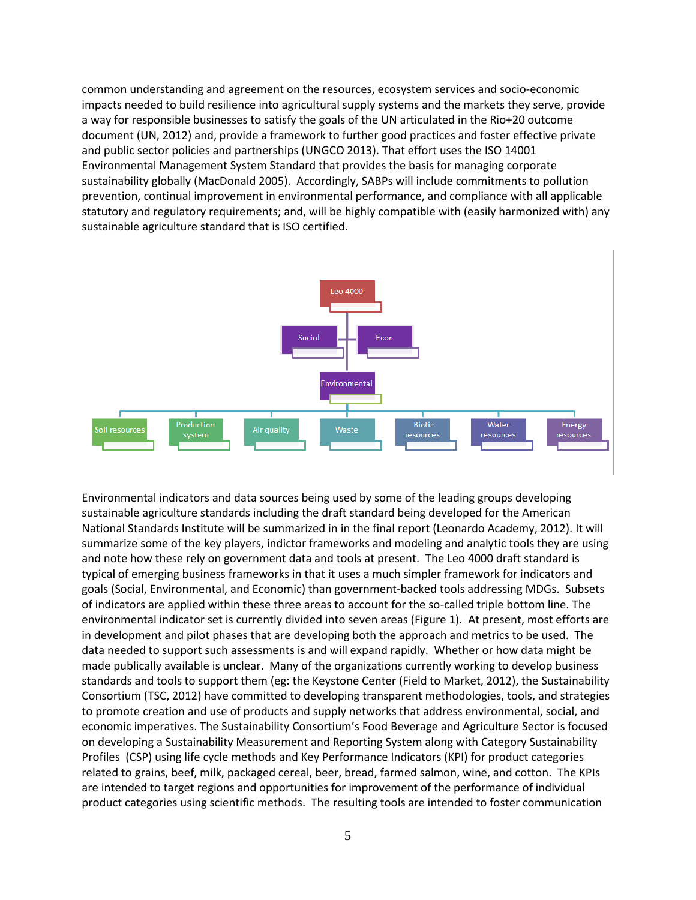common understanding and agreement on the resources, ecosystem services and socio-economic impacts needed to build resilience into agricultural supply systems and the markets they serve, provide a way for responsible businesses to satisfy the goals of the UN articulated in the Rio+20 outcome document (UN, 2012) and, provide a framework to further good practices and foster effective private and public sector policies and partnerships (UNGCO 2013). That effort uses the ISO 14001 Environmental Management System Standard that provides the basis for managing corporate sustainability globally (MacDonald 2005). Accordingly, SABPs will include commitments to pollution prevention, continual improvement in environmental performance, and compliance with all applicable statutory and regulatory requirements; and, will be highly compatible with (easily harmonized with) any sustainable agriculture standard that is ISO certified.



Environmental indicators and data sources being used by some of the leading groups developing sustainable agriculture standards including the draft standard being developed for the American National Standards Institute will be summarized in in the final report (Leonardo Academy, 2012). It will summarize some of the key players, indictor frameworks and modeling and analytic tools they are using and note how these rely on government data and tools at present. The Leo 4000 draft standard is typical of emerging business frameworks in that it uses a much simpler framework for indicators and goals (Social, Environmental, and Economic) than government-backed tools addressing MDGs. Subsets of indicators are applied within these three areas to account for the so-called triple bottom line. The environmental indicator set is currently divided into seven areas (Figure 1). At present, most efforts are in development and pilot phases that are developing both the approach and metrics to be used. The data needed to support such assessments is and will expand rapidly. Whether or how data might be made publically available is unclear. Many of the organizations currently working to develop business standards and tools to support them (eg: the Keystone Center (Field to Market, 2012), the Sustainability Consortium (TSC, 2012) have committed to developing transparent methodologies, tools, and strategies to promote creation and use of products and supply networks that address environmental, social, and economic imperatives. The Sustainability Consortium's Food Beverage and Agriculture Sector is focused on developing a Sustainability Measurement and Reporting System along with Category Sustainability Profiles (CSP) using life cycle methods and Key Performance Indicators (KPI) for product categories related to grains, beef, milk, packaged cereal, beer, bread, farmed salmon, wine, and cotton. The KPIs are intended to target regions and opportunities for improvement of the performance of individual product categories using scientific methods. The resulting tools are intended to foster communication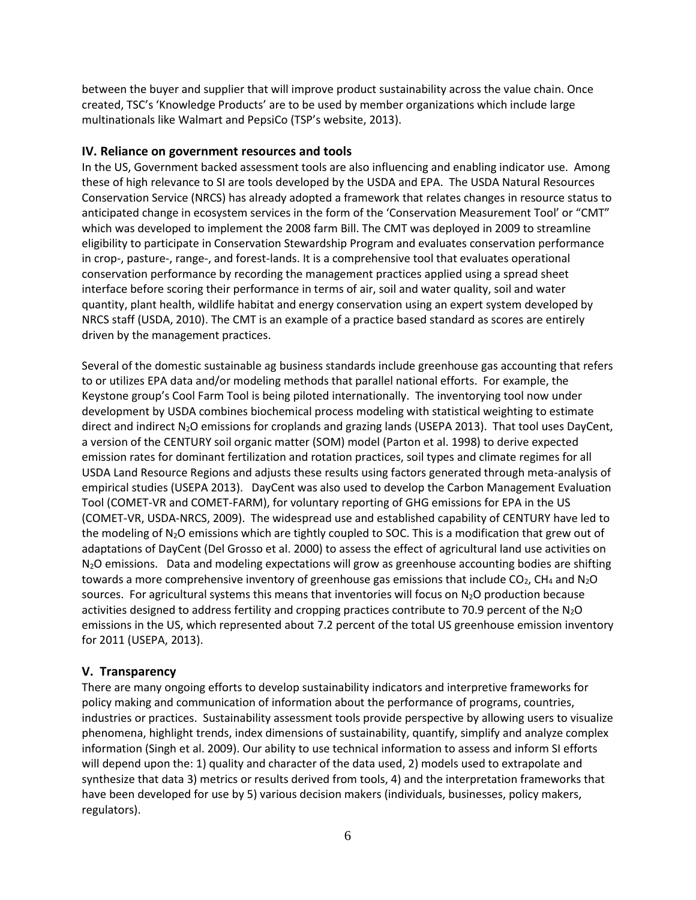between the buyer and supplier that will improve product sustainability across the value chain. Once created, TSC's 'Knowledge Products' are to be used by member organizations which include large multinationals like Walmart and PepsiCo (TSP's website, 2013).

#### **IV. Reliance on government resources and tools**

In the US, Government backed assessment tools are also influencing and enabling indicator use. Among these of high relevance to SI are tools developed by the USDA and EPA. The USDA Natural Resources Conservation Service (NRCS) has already adopted a framework that relates changes in resource status to anticipated change in ecosystem services in the form of the 'Conservation Measurement Tool' or "CMT" which was developed to implement the 2008 farm Bill. The CMT was deployed in 2009 to streamline eligibility to participate in Conservation Stewardship Program and evaluates conservation performance in crop-, pasture-, range-, and forest-lands. It is a comprehensive tool that evaluates operational conservation performance by recording the management practices applied using a spread sheet interface before scoring their performance in terms of air, soil and water quality, soil and water quantity, plant health, wildlife habitat and energy conservation using an expert system developed by NRCS staff (USDA, 2010). The CMT is an example of a practice based standard as scores are entirely driven by the management practices.

Several of the domestic sustainable ag business standards include greenhouse gas accounting that refers to or utilizes EPA data and/or modeling methods that parallel national efforts. For example, the Keystone group's Cool Farm Tool is being piloted internationally. The inventorying tool now under development by USDA combines biochemical process modeling with statistical weighting to estimate direct and indirect N<sub>2</sub>O emissions for croplands and grazing lands (USEPA 2013). That tool uses DayCent, a version of the CENTURY soil organic matter (SOM) model (Parton et al. 1998) to derive expected emission rates for dominant fertilization and rotation practices, soil types and climate regimes for all USDA Land Resource Regions and adjusts these results using factors generated through meta-analysis of empirical studies (USEPA 2013). DayCent was also used to develop the Carbon Management Evaluation Tool (COMET-VR and COMET-FARM), for voluntary reporting of GHG emissions for EPA in the US (COMET-VR, USDA-NRCS, 2009). The widespread use and established capability of CENTURY have led to the modeling of N<sub>2</sub>O emissions which are tightly coupled to SOC. This is a modification that grew out of adaptations of DayCent (Del Grosso et al. 2000) to assess the effect of agricultural land use activities on N2O emissions. Data and modeling expectations will grow as greenhouse accounting bodies are shifting towards a more comprehensive inventory of greenhouse gas emissions that include  $CO<sub>2</sub>$ , CH<sub>4</sub> and N<sub>2</sub>O sources. For agricultural systems this means that inventories will focus on N<sub>2</sub>O production because activities designed to address fertility and cropping practices contribute to 70.9 percent of the N<sub>2</sub>O emissions in the US, which represented about 7.2 percent of the total US greenhouse emission inventory for 2011 (USEPA, 2013).

#### **V. Transparency**

There are many ongoing efforts to develop sustainability indicators and interpretive frameworks for policy making and communication of information about the performance of programs, countries, industries or practices. Sustainability assessment tools provide perspective by allowing users to visualize phenomena, highlight trends, index dimensions of sustainability, quantify, simplify and analyze complex information (Singh et al. 2009). Our ability to use technical information to assess and inform SI efforts will depend upon the: 1) quality and character of the data used, 2) models used to extrapolate and synthesize that data 3) metrics or results derived from tools, 4) and the interpretation frameworks that have been developed for use by 5) various decision makers (individuals, businesses, policy makers, regulators).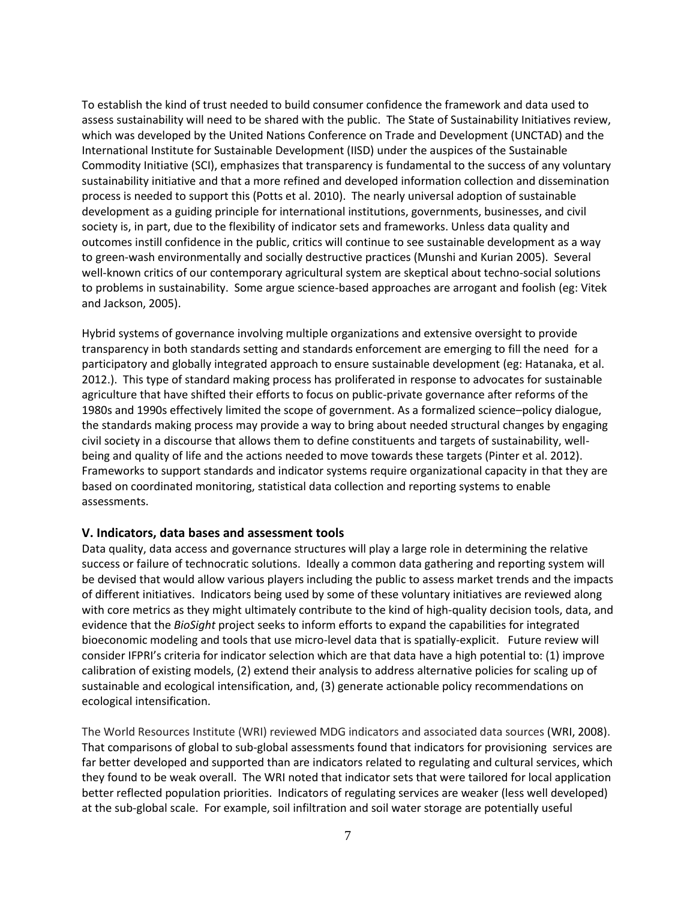To establish the kind of trust needed to build consumer confidence the framework and data used to assess sustainability will need to be shared with the public. The State of Sustainability Initiatives review, which was developed by the United Nations Conference on Trade and Development (UNCTAD) and the International Institute for Sustainable Development (IISD) under the auspices of the Sustainable Commodity Initiative (SCI), emphasizes that transparency is fundamental to the success of any voluntary sustainability initiative and that a more refined and developed information collection and dissemination process is needed to support this (Potts et al. 2010). The nearly universal adoption of sustainable development as a guiding principle for international institutions, governments, businesses, and civil society is, in part, due to the flexibility of indicator sets and frameworks. Unless data quality and outcomes instill confidence in the public, critics will continue to see sustainable development as a way to green-wash environmentally and socially destructive practices (Munshi and Kurian 2005). Several well-known critics of our contemporary agricultural system are skeptical about techno-social solutions to problems in sustainability. Some argue science-based approaches are arrogant and foolish (eg: Vitek and Jackson, 2005).

Hybrid systems of governance involving multiple organizations and extensive oversight to provide transparency in both standards setting and standards enforcement are emerging to fill the need for a participatory and globally integrated approach to ensure sustainable development (eg: Hatanaka, et al. 2012.). This type of standard making process has proliferated in response to advocates for sustainable agriculture that have shifted their efforts to focus on public-private governance after reforms of the 1980s and 1990s effectively limited the scope of government. As a formalized science–policy dialogue, the standards making process may provide a way to bring about needed structural changes by engaging civil society in a discourse that allows them to define constituents and targets of sustainability, wellbeing and quality of life and the actions needed to move towards these targets (Pinter et al. 2012). Frameworks to support standards and indicator systems require organizational capacity in that they are based on coordinated monitoring, statistical data collection and reporting systems to enable assessments.

#### **V. Indicators, data bases and assessment tools**

Data quality, data access and governance structures will play a large role in determining the relative success or failure of technocratic solutions. Ideally a common data gathering and reporting system will be devised that would allow various players including the public to assess market trends and the impacts of different initiatives. Indicators being used by some of these voluntary initiatives are reviewed along with core metrics as they might ultimately contribute to the kind of high-quality decision tools, data, and evidence that the *BioSight* project seeks to inform efforts to expand the capabilities for integrated bioeconomic modeling and tools that use micro-level data that is spatially-explicit. Future review will consider IFPRI's criteria for indicator selection which are that data have a high potential to: (1) improve calibration of existing models, (2) extend their analysis to address alternative policies for scaling up of sustainable and ecological intensification, and, (3) generate actionable policy recommendations on ecological intensification.

The World Resources Institute (WRI) reviewed MDG indicators and associated data sources (WRI, 2008). That comparisons of global to sub-global assessments found that indicators for provisioning services are far better developed and supported than are indicators related to regulating and cultural services, which they found to be weak overall. The WRI noted that indicator sets that were tailored for local application better reflected population priorities. Indicators of regulating services are weaker (less well developed) at the sub-global scale. For example, soil infiltration and soil water storage are potentially useful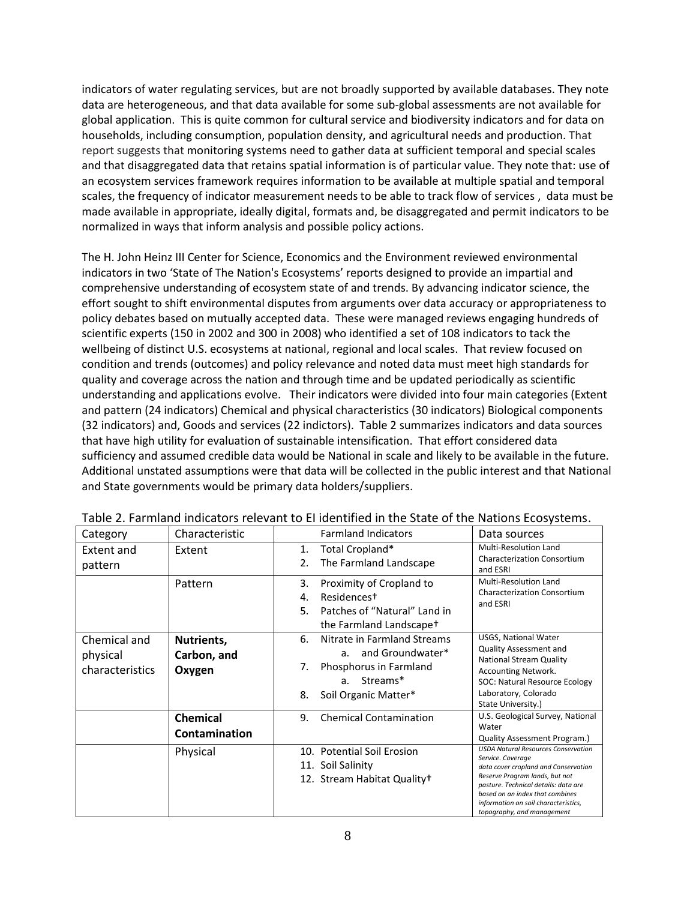indicators of water regulating services, but are not broadly supported by available databases. They note data are heterogeneous, and that data available for some sub-global assessments are not available for global application. This is quite common for cultural service and biodiversity indicators and for data on households, including consumption, population density, and agricultural needs and production. That report suggests that monitoring systems need to gather data at sufficient temporal and special scales and that disaggregated data that retains spatial information is of particular value. They note that: use of an ecosystem services framework requires information to be available at multiple spatial and temporal scales, the frequency of indicator measurement needs to be able to track flow of services , data must be made available in appropriate, ideally digital, formats and, be disaggregated and permit indicators to be normalized in ways that inform analysis and possible policy actions.

The H. John Heinz III Center for Science, Economics and the Environment reviewed environmental indicators in two 'State of The Nation's Ecosystems' reports designed to provide an impartial and comprehensive understanding of ecosystem state of and trends. By advancing indicator science, the effort sought to shift environmental disputes from arguments over data accuracy or appropriateness to policy debates based on mutually accepted data. These were managed reviews engaging hundreds of scientific experts (150 in 2002 and 300 in 2008) who identified a set of 108 indicators to tack the wellbeing of distinct U.S. ecosystems at national, regional and local scales. That review focused on condition and trends (outcomes) and policy relevance and noted data must meet high standards for quality and coverage across the nation and through time and be updated periodically as scientific understanding and applications evolve. Their indicators were divided into four main categories (Extent and pattern (24 indicators) Chemical and physical characteristics (30 indicators) Biological components (32 indicators) and, Goods and services (22 indictors). Table 2 summarizes indicators and data sources that have high utility for evaluation of sustainable intensification. That effort considered data sufficiency and assumed credible data would be National in scale and likely to be available in the future. Additional unstated assumptions were that data will be collected in the public interest and that National and State governments would be primary data holders/suppliers.

| Category                                    | Characteristic                      | <b>Farmland Indicators</b>                                                                                                               | Data sources                                                                                                                                                                                                                                                                               |
|---------------------------------------------|-------------------------------------|------------------------------------------------------------------------------------------------------------------------------------------|--------------------------------------------------------------------------------------------------------------------------------------------------------------------------------------------------------------------------------------------------------------------------------------------|
| Extent and<br>pattern                       | Extent                              | Total Cropland*<br>1.<br>The Farmland Landscape<br>2.                                                                                    | <b>Multi-Resolution Land</b><br><b>Characterization Consortium</b><br>and ESRI                                                                                                                                                                                                             |
|                                             | Pattern                             | 3.<br>Proximity of Cropland to<br>Residencest<br>4.<br>Patches of "Natural" Land in<br>5.<br>the Farmland Landscapet                     | <b>Multi-Resolution Land</b><br><b>Characterization Consortium</b><br>and ESRI                                                                                                                                                                                                             |
| Chemical and<br>physical<br>characteristics | Nutrients,<br>Carbon, and<br>Oxygen | 6.<br>Nitrate in Farmland Streams<br>and Groundwater*<br>а.<br>Phosphorus in Farmland<br>7.<br>a. Streams*<br>Soil Organic Matter*<br>8. | <b>USGS, National Water</b><br><b>Quality Assessment and</b><br><b>National Stream Quality</b><br><b>Accounting Network.</b><br>SOC: Natural Resource Ecology<br>Laboratory, Colorado<br>State University.)                                                                                |
|                                             | <b>Chemical</b><br>Contamination    | <b>Chemical Contamination</b><br>9.                                                                                                      | U.S. Geological Survey, National<br>Water<br><b>Quality Assessment Program.)</b>                                                                                                                                                                                                           |
|                                             | Physical                            | 10. Potential Soil Erosion<br>11. Soil Salinity<br>12. Stream Habitat Quality+                                                           | <b>USDA Natural Resources Conservation</b><br>Service. Coverage<br>data cover cropland and Conservation<br>Reserve Program lands, but not<br>pasture. Technical details: data are<br>based on an index that combines<br>information on soil characteristics,<br>topography, and management |

Table 2. Farmland indicators relevant to EI identified in the State of the Nations Ecosystems.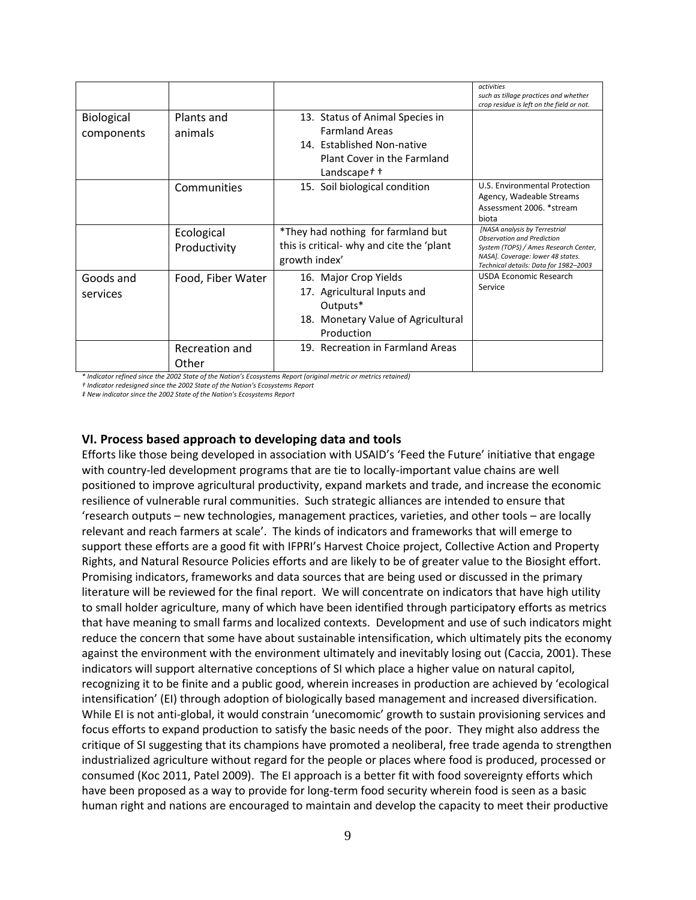|                          |                            |                                                                                                                                                  | activities<br>such as tillage practices and whether<br>crop residue is left on the field or not.                                                                                          |
|--------------------------|----------------------------|--------------------------------------------------------------------------------------------------------------------------------------------------|-------------------------------------------------------------------------------------------------------------------------------------------------------------------------------------------|
| Biological<br>components | Plants and<br>animals      | 13. Status of Animal Species in<br><b>Farmland Areas</b><br>14. Established Non-native<br>Plant Cover in the Farmland<br>Landscape $t$ $\dagger$ |                                                                                                                                                                                           |
|                          | Communities                | 15. Soil biological condition                                                                                                                    | U.S. Environmental Protection<br>Agency, Wadeable Streams<br>Assessment 2006. *stream<br>biota                                                                                            |
|                          | Ecological<br>Productivity | *They had nothing for farmland but<br>this is critical- why and cite the 'plant<br>growth index'                                                 | [NASA analysis by Terrestrial<br><b>Observation and Prediction</b><br>System (TOPS) / Ames Research Center,<br>NASA]. Coverage: lower 48 states.<br>Technical details: Data for 1982-2003 |
| Goods and<br>services    | Food, Fiber Water          | 16. Major Crop Yields<br>17. Agricultural Inputs and<br>Outputs*<br>18. Monetary Value of Agricultural<br>Production                             | USDA Economic Research<br>Service                                                                                                                                                         |
|                          | Recreation and<br>Other    | 19. Recreation in Farmland Areas                                                                                                                 |                                                                                                                                                                                           |

*\* Indicator refined since the 2002 State of the Nation's Ecosystems Report (original metric or metrics retained)*

*† Indicator redesigned since the 2002 State of the Nation's Ecosystems Report*

*‡ New indicator since the 2002 State of the Nation's Ecosystems Report*

#### **VI. Process based approach to developing data and tools**

Efforts like those being developed in association with USAID's 'Feed the Future' initiative that engage with country-led development programs that are tie to locally-important value chains are well positioned to improve agricultural productivity, expand markets and trade, and increase the economic resilience of vulnerable rural communities. Such strategic alliances are intended to ensure that 'research outputs – new technologies, management practices, varieties, and other tools – are locally relevant and reach farmers at scale'. The kinds of indicators and frameworks that will emerge to support these efforts are a good fit with IFPRI's Harvest Choice project, Collective Action and Property Rights, and Natural Resource Policies efforts and are likely to be of greater value to the Biosight effort. Promising indicators, frameworks and data sources that are being used or discussed in the primary literature will be reviewed for the final report. We will concentrate on indicators that have high utility to small holder agriculture, many of which have been identified through participatory efforts as metrics that have meaning to small farms and localized contexts. Development and use of such indicators might reduce the concern that some have about sustainable intensification, which ultimately pits the economy against the environment with the environment ultimately and inevitably losing out (Caccia, 2001). These indicators will support alternative conceptions of SI which place a higher value on natural capitol, recognizing it to be finite and a public good, wherein increases in production are achieved by 'ecological intensification' (EI) through adoption of biologically based management and increased diversification. While EI is not anti-global, it would constrain 'unecomomic' growth to sustain provisioning services and focus efforts to expand production to satisfy the basic needs of the poor. They might also address the critique of SI suggesting that its champions have promoted a neoliberal, free trade agenda to strengthen industrialized agriculture without regard for the people or places where food is produced, processed or consumed (Koc 2011, Patel 2009). The EI approach is a better fit with food sovereignty efforts which have been proposed as a way to provide for long-term food security wherein food is seen as a basic human right and nations are encouraged to maintain and develop the capacity to meet their productive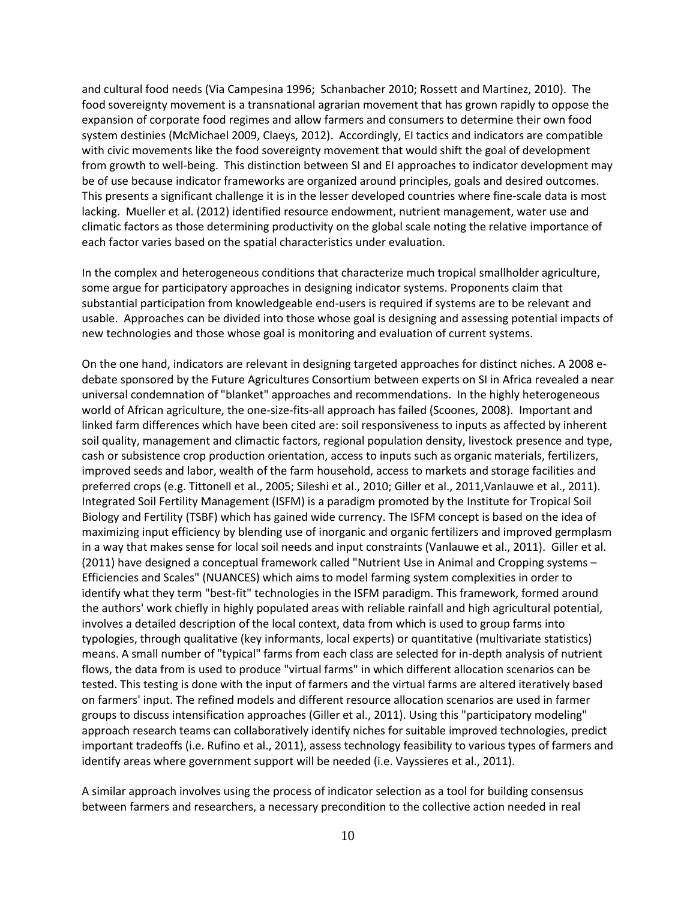and cultural food needs (Via Campesina 1996; Schanbacher 2010; Rossett and Martinez, 2010). The food sovereignty movement is a transnational agrarian movement that has grown rapidly to oppose the expansion of corporate food regimes and allow farmers and consumers to determine their own food system destinies (McMichael 2009, Claeys, 2012). Accordingly, EI tactics and indicators are compatible with civic movements like the food sovereignty movement that would shift the goal of development from growth to well-being. This distinction between SI and EI approaches to indicator development may be of use because indicator frameworks are organized around principles, goals and desired outcomes. This presents a significant challenge it is in the lesser developed countries where fine-scale data is most lacking. Mueller et al. (2012) identified resource endowment, nutrient management, water use and climatic factors as those determining productivity on the global scale noting the relative importance of each factor varies based on the spatial characteristics under evaluation.

In the complex and heterogeneous conditions that characterize much tropical smallholder agriculture, some argue for participatory approaches in designing indicator systems. Proponents claim that substantial participation from knowledgeable end-users is required if systems are to be relevant and usable. Approaches can be divided into those whose goal is designing and assessing potential impacts of new technologies and those whose goal is monitoring and evaluation of current systems.

On the one hand, indicators are relevant in designing targeted approaches for distinct niches. A 2008 edebate sponsored by the Future Agricultures Consortium between experts on SI in Africa revealed a near universal condemnation of "blanket" approaches and recommendations. In the highly heterogeneous world of African agriculture, the one-size-fits-all approach has failed (Scoones, 2008). Important and linked farm differences which have been cited are: soil responsiveness to inputs as affected by inherent soil quality, management and climactic factors, regional population density, livestock presence and type, cash or subsistence crop production orientation, access to inputs such as organic materials, fertilizers, improved seeds and labor, wealth of the farm household, access to markets and storage facilities and preferred crops (e.g. Tittonell et al., 2005; Sileshi et al., 2010; Giller et al., 2011, Vanlauwe et al., 2011). Integrated Soil Fertility Management (ISFM) is a paradigm promoted by the Institute for Tropical Soil Biology and Fertility (TSBF) which has gained wide currency. The ISFM concept is based on the idea of maximizing input efficiency by blending use of inorganic and organic fertilizers and improved germplasm in a way that makes sense for local soil needs and input constraints (Vanlauwe et al., 2011). Giller et al. (2011) have designed a conceptual framework called "Nutrient Use in Animal and Cropping systems – Efficiencies and Scales" (NUANCES) which aims to model farming system complexities in order to identify what they term "best-fit" technologies in the ISFM paradigm. This framework, formed around the authors' work chiefly in highly populated areas with reliable rainfall and high agricultural potential, involves a detailed description of the local context, data from which is used to group farms into typologies, through qualitative (key informants, local experts) or quantitative (multivariate statistics) means. A small number of "typical" farms from each class are selected for in-depth analysis of nutrient flows, the data from is used to produce "virtual farms" in which different allocation scenarios can be tested. This testing is done with the input of farmers and the virtual farms are altered iteratively based on farmers' input. The refined models and different resource allocation scenarios are used in farmer groups to discuss intensification approaches (Giller et al., 2011). Using this "participatory modeling" approach research teams can collaboratively identify niches for suitable improved technologies, predict important tradeoffs (i.e. Rufino et al., 2011), assess technology feasibility to various types of farmers and identify areas where government support will be needed (i.e. Vayssieres et al., 2011).

A similar approach involves using the process of indicator selection as a tool for building consensus between farmers and researchers, a necessary precondition to the collective action needed in real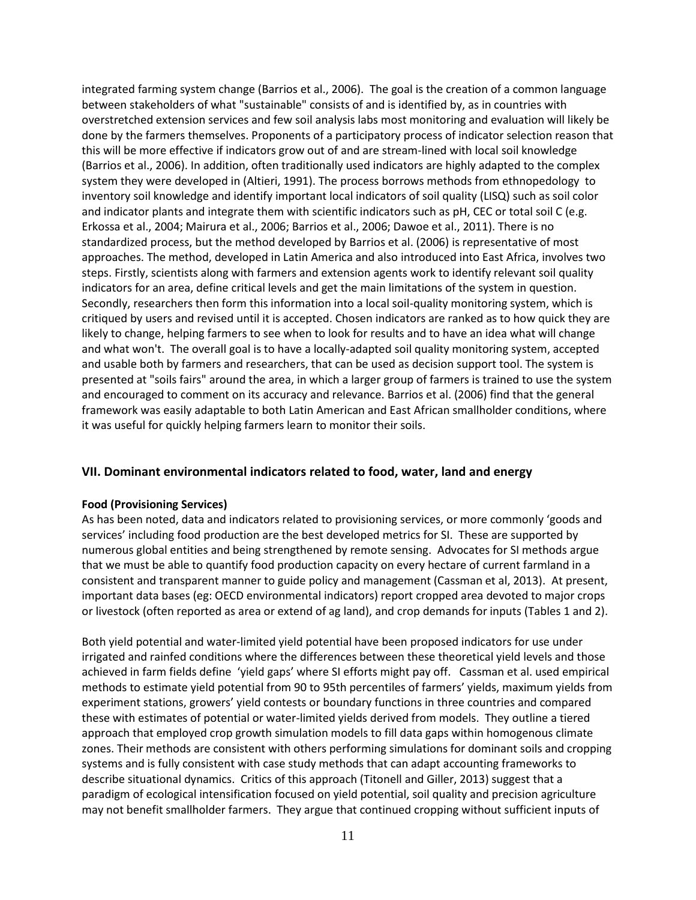integrated farming system change (Barrios et al., 2006). The goal is the creation of a common language between stakeholders of what "sustainable" consists of and is identified by, as in countries with overstretched extension services and few soil analysis labs most monitoring and evaluation will likely be done by the farmers themselves. Proponents of a participatory process of indicator selection reason that this will be more effective if indicators grow out of and are stream-lined with local soil knowledge (Barrios et al., 2006). In addition, often traditionally used indicators are highly adapted to the complex system they were developed in (Altieri, 1991). The process borrows methods from ethnopedology to inventory soil knowledge and identify important local indicators of soil quality (LISQ) such as soil color and indicator plants and integrate them with scientific indicators such as pH, CEC or total soil C (e.g. Erkossa et al., 2004; Mairura et al., 2006; Barrios et al., 2006; Dawoe et al., 2011). There is no standardized process, but the method developed by Barrios et al. (2006) is representative of most approaches. The method, developed in Latin America and also introduced into East Africa, involves two steps. Firstly, scientists along with farmers and extension agents work to identify relevant soil quality indicators for an area, define critical levels and get the main limitations of the system in question. Secondly, researchers then form this information into a local soil-quality monitoring system, which is critiqued by users and revised until it is accepted. Chosen indicators are ranked as to how quick they are likely to change, helping farmers to see when to look for results and to have an idea what will change and what won't. The overall goal is to have a locally-adapted soil quality monitoring system, accepted and usable both by farmers and researchers, that can be used as decision support tool. The system is presented at "soils fairs" around the area, in which a larger group of farmers is trained to use the system and encouraged to comment on its accuracy and relevance. Barrios et al. (2006) find that the general framework was easily adaptable to both Latin American and East African smallholder conditions, where it was useful for quickly helping farmers learn to monitor their soils.

#### **VII. Dominant environmental indicators related to food, water, land and energy**

#### **Food (Provisioning Services)**

As has been noted, data and indicators related to provisioning services, or more commonly 'goods and services' including food production are the best developed metrics for SI. These are supported by numerous global entities and being strengthened by remote sensing. Advocates for SI methods argue that we must be able to quantify food production capacity on every hectare of current farmland in a consistent and transparent manner to guide policy and management (Cassman et al, 2013). At present, important data bases (eg: OECD environmental indicators) report cropped area devoted to major crops or livestock (often reported as area or extend of ag land), and crop demands for inputs (Tables 1 and 2).

Both yield potential and water-limited yield potential have been proposed indicators for use under irrigated and rainfed conditions where the differences between these theoretical yield levels and those achieved in farm fields define 'yield gaps' where SI efforts might pay off. Cassman et al. used empirical methods to estimate yield potential from 90 to 95th percentiles of farmers' yields, maximum yields from experiment stations, growers' yield contests or boundary functions in three countries and compared these with estimates of potential or water-limited yields derived from models. They outline a tiered approach that employed crop growth simulation models to fill data gaps within homogenous climate zones. Their methods are consistent with others performing simulations for dominant soils and cropping systems and is fully consistent with case study methods that can adapt accounting frameworks to describe situational dynamics. Critics of this approach (Titonell and Giller, 2013) suggest that a paradigm of ecological intensification focused on yield potential, soil quality and precision agriculture may not benefit smallholder farmers. They argue that continued cropping without sufficient inputs of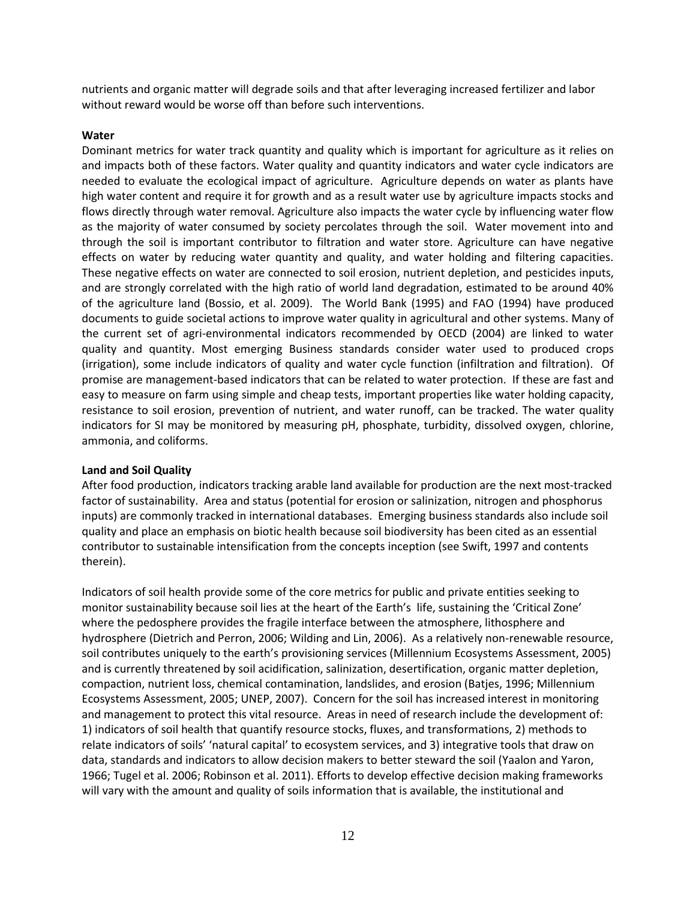nutrients and organic matter will degrade soils and that after leveraging increased fertilizer and labor without reward would be worse off than before such interventions.

#### **Water**

Dominant metrics for water track quantity and quality which is important for agriculture as it relies on and impacts both of these factors. Water quality and quantity indicators and water cycle indicators are needed to evaluate the ecological impact of agriculture. Agriculture depends on water as plants have high water content and require it for growth and as a result water use by agriculture impacts stocks and flows directly through water removal. Agriculture also impacts the water cycle by influencing water flow as the majority of water consumed by society percolates through the soil. Water movement into and through the soil is important contributor to filtration and water store. Agriculture can have negative effects on water by reducing water quantity and quality, and water holding and filtering capacities. These negative effects on water are connected to soil erosion, nutrient depletion, and pesticides inputs, and are strongly correlated with the high ratio of world land degradation, estimated to be around 40% of the agriculture land (Bossio, et al. 2009). The World Bank (1995) and FAO (1994) have produced documents to guide societal actions to improve water quality in agricultural and other systems. Many of the current set of agri-environmental indicators recommended by OECD (2004) are linked to water quality and quantity. Most emerging Business standards consider water used to produced crops (irrigation), some include indicators of quality and water cycle function (infiltration and filtration). Of promise are management-based indicators that can be related to water protection. If these are fast and easy to measure on farm using simple and cheap tests, important properties like water holding capacity, resistance to soil erosion, prevention of nutrient, and water runoff, can be tracked. The water quality indicators for SI may be monitored by measuring pH, phosphate, turbidity, dissolved oxygen, chlorine, ammonia, and coliforms.

#### **Land and Soil Quality**

After food production, indicators tracking arable land available for production are the next most-tracked factor of sustainability. Area and status (potential for erosion or salinization, nitrogen and phosphorus inputs) are commonly tracked in international databases. Emerging business standards also include soil quality and place an emphasis on biotic health because soil biodiversity has been cited as an essential contributor to sustainable intensification from the concepts inception (see Swift, 1997 and contents therein).

Indicators of soil health provide some of the core metrics for public and private entities seeking to monitor sustainability because soil lies at the heart of the Earth's life, sustaining the 'Critical Zone' where the pedosphere provides the fragile interface between the atmosphere, lithosphere and hydrosphere (Dietrich and Perron, 2006; Wilding and Lin, 2006). As a relatively non-renewable resource, soil contributes uniquely to the earth's provisioning services (Millennium Ecosystems Assessment, 2005) and is currently threatened by soil acidification, salinization, desertification, organic matter depletion, compaction, nutrient loss, chemical contamination, landslides, and erosion (Batjes, 1996; Millennium Ecosystems Assessment, 2005; UNEP, 2007). Concern for the soil has increased interest in monitoring and management to protect this vital resource. Areas in need of research include the development of: 1) indicators of soil health that quantify resource stocks, fluxes, and transformations, 2) methods to relate indicators of soils' 'natural capital' to ecosystem services, and 3) integrative tools that draw on data, standards and indicators to allow decision makers to better steward the soil (Yaalon and Yaron, 1966; Tugel et al. 2006; Robinson et al. 2011). Efforts to develop effective decision making frameworks will vary with the amount and quality of soils information that is available, the institutional and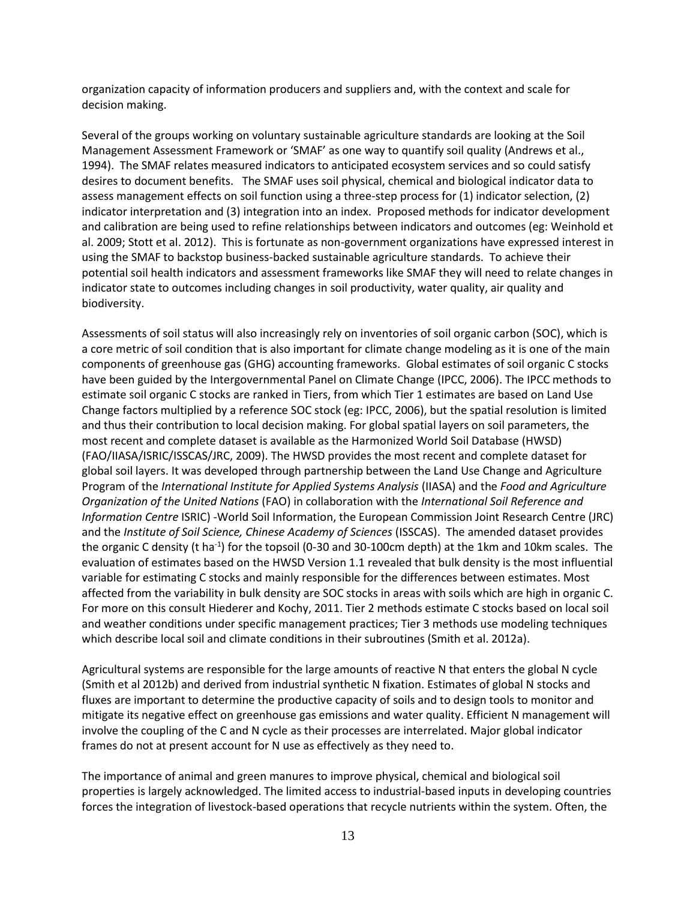organization capacity of information producers and suppliers and, with the context and scale for decision making.

Several of the groups working on voluntary sustainable agriculture standards are looking at the Soil Management Assessment Framework or 'SMAF' as one way to quantify soil quality (Andrews et al., 1994). The SMAF relates measured indicators to anticipated ecosystem services and so could satisfy desires to document benefits. The SMAF uses soil physical, chemical and biological indicator data to assess management effects on soil function using a three-step process for (1) indicator selection, (2) indicator interpretation and (3) integration into an index. Proposed methods for indicator development and calibration are being used to refine relationships between indicators and outcomes (eg: Weinhold et al. 2009; Stott et al. 2012). This is fortunate as non-government organizations have expressed interest in using the SMAF to backstop business-backed sustainable agriculture standards. To achieve their potential soil health indicators and assessment frameworks like SMAF they will need to relate changes in indicator state to outcomes including changes in soil productivity, water quality, air quality and biodiversity.

Assessments of soil status will also increasingly rely on inventories of soil organic carbon (SOC), which is a core metric of soil condition that is also important for climate change modeling as it is one of the main components of greenhouse gas (GHG) accounting frameworks. Global estimates of soil organic C stocks have been guided by the Intergovernmental Panel on Climate Change (IPCC, 2006). The IPCC methods to estimate soil organic C stocks are ranked in Tiers, from which Tier 1 estimates are based on Land Use Change factors multiplied by a reference SOC stock (eg: IPCC, 2006), but the spatial resolution is limited and thus their contribution to local decision making. For global spatial layers on soil parameters, the most recent and complete dataset is available as the Harmonized World Soil Database (HWSD) (FAO/IIASA/ISRIC/ISSCAS/JRC, 2009). The HWSD provides the most recent and complete dataset for global soil layers. It was developed through partnership between the Land Use Change and Agriculture Program of the *International Institute for Applied Systems Analysis* (IIASA) and the *Food and Agriculture Organization of the United Nations* (FAO) in collaboration with the *International Soil Reference and Information Centre* ISRIC) -World Soil Information, the European Commission Joint Research Centre (JRC) and the *Institute of Soil Science, Chinese Academy of Sciences* (ISSCAS). The amended dataset provides the organic C density (t ha<sup>-1</sup>) for the topsoil (0-30 and 30-100cm depth) at the 1km and 10km scales. The evaluation of estimates based on the HWSD Version 1.1 revealed that bulk density is the most influential variable for estimating C stocks and mainly responsible for the differences between estimates. Most affected from the variability in bulk density are SOC stocks in areas with soils which are high in organic C. For more on this consult Hiederer and Kochy, 2011. Tier 2 methods estimate C stocks based on local soil and weather conditions under specific management practices; Tier 3 methods use modeling techniques which describe local soil and climate conditions in their subroutines (Smith et al. 2012a).

Agricultural systems are responsible for the large amounts of reactive N that enters the global N cycle (Smith et al 2012b) and derived from industrial synthetic N fixation. Estimates of global N stocks and fluxes are important to determine the productive capacity of soils and to design tools to monitor and mitigate its negative effect on greenhouse gas emissions and water quality. Efficient N management will involve the coupling of the C and N cycle as their processes are interrelated. Major global indicator frames do not at present account for N use as effectively as they need to.

The importance of animal and green manures to improve physical, chemical and biological soil properties is largely acknowledged. The limited access to industrial-based inputs in developing countries forces the integration of livestock-based operations that recycle nutrients within the system. Often, the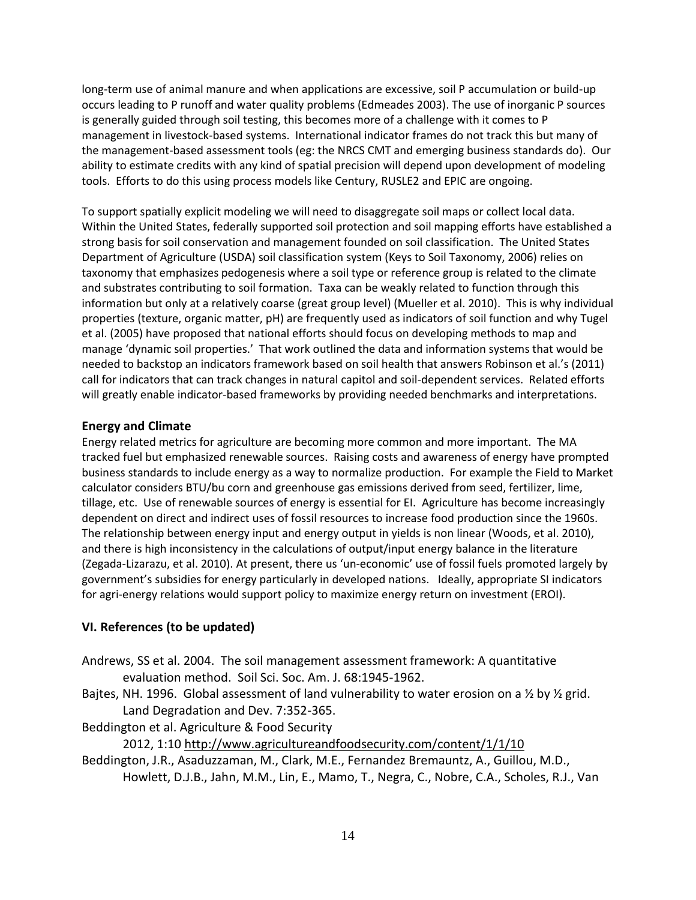long-term use of animal manure and when applications are excessive, soil P accumulation or build-up occurs leading to P runoff and water quality problems (Edmeades 2003). The use of inorganic P sources is generally guided through soil testing, this becomes more of a challenge with it comes to P management in livestock-based systems. International indicator frames do not track this but many of the management-based assessment tools (eg: the NRCS CMT and emerging business standards do). Our ability to estimate credits with any kind of spatial precision will depend upon development of modeling tools. Efforts to do this using process models like Century, RUSLE2 and EPIC are ongoing.

To support spatially explicit modeling we will need to disaggregate soil maps or collect local data. Within the United States, federally supported soil protection and soil mapping efforts have established a strong basis for soil conservation and management founded on soil classification. The United States Department of Agriculture (USDA) soil classification system (Keys to Soil Taxonomy, 2006) relies on taxonomy that emphasizes pedogenesis where a soil type or reference group is related to the climate and substrates contributing to soil formation. Taxa can be weakly related to function through this information but only at a relatively coarse (great group level) (Mueller et al. 2010). This is why individual properties (texture, organic matter, pH) are frequently used as indicators of soil function and why Tugel et al. (2005) have proposed that national efforts should focus on developing methods to map and manage 'dynamic soil properties.' That work outlined the data and information systems that would be needed to backstop an indicators framework based on soil health that answers Robinson et al.'s (2011) call for indicators that can track changes in natural capitol and soil-dependent services. Related efforts will greatly enable indicator-based frameworks by providing needed benchmarks and interpretations.

## **Energy and Climate**

Energy related metrics for agriculture are becoming more common and more important. The MA tracked fuel but emphasized renewable sources. Raising costs and awareness of energy have prompted business standards to include energy as a way to normalize production. For example the Field to Market calculator considers BTU/bu corn and greenhouse gas emissions derived from seed, fertilizer, lime, tillage, etc. Use of renewable sources of energy is essential for EI. Agriculture has become increasingly dependent on direct and indirect uses of fossil resources to increase food production since the 1960s. The relationship between energy input and energy output in yields is non linear (Woods, et al. 2010), and there is high inconsistency in the calculations of output/input energy balance in the literature (Zegada-Lizarazu, et al. 2010). At present, there us 'un-economic' use of fossil fuels promoted largely by government's subsidies for energy particularly in developed nations. Ideally, appropriate SI indicators for agri-energy relations would support policy to maximize energy return on investment (EROI).

## **VI. References (to be updated)**

- Andrews, SS et al. 2004. The soil management assessment framework: A quantitative evaluation method. Soil Sci. Soc. Am. J. 68:1945-1962.
- Bajtes, NH. 1996. Global assessment of land vulnerability to water erosion on a  $\frac{1}{2}$  by  $\frac{1}{2}$  grid. Land Degradation and Dev. 7:352-365.
- Beddington et al. Agriculture & Food Security

## 2012, 1:10 <http://www.agricultureandfoodsecurity.com/content/1/1/10>

Beddington, J.R., Asaduzzaman, M., Clark, M.E., Fernandez Bremauntz, A., Guillou, M.D., Howlett, D.J.B., Jahn, M.M., Lin, E., Mamo, T., Negra, C., Nobre, C.A., Scholes, R.J., Van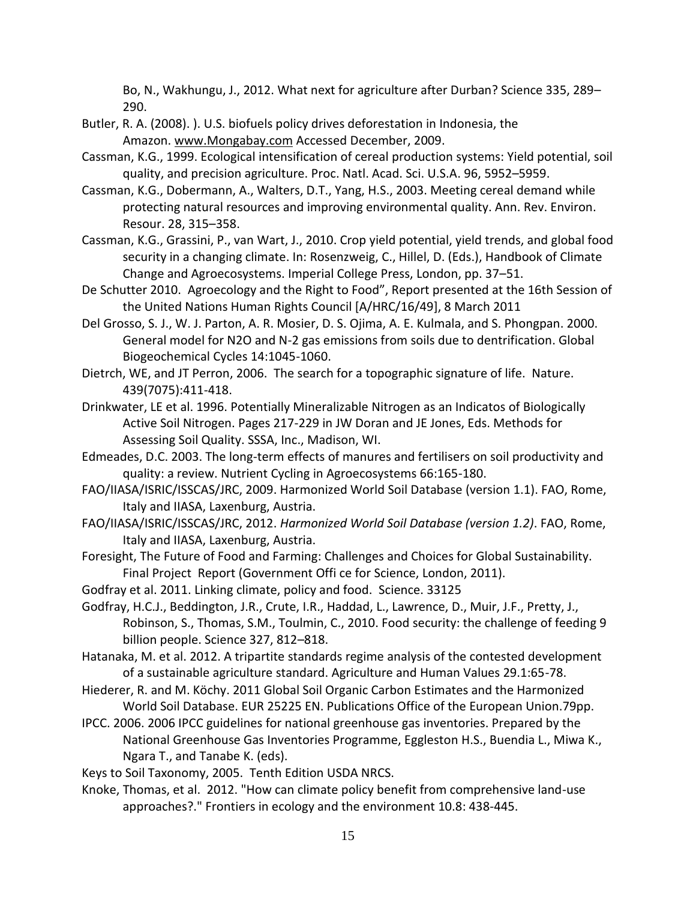Bo, N., Wakhungu, J., 2012. What next for agriculture after Durban? Science 335, 289– 290.

- Butler, R. A. (2008). ). U.S. biofuels policy drives deforestation in Indonesia, the Amazon. [www.Mongabay.com](http://www.mongabay.com/) Accessed December, 2009.
- Cassman, K.G., 1999. Ecological intensification of cereal production systems: Yield potential, soil quality, and precision agriculture. Proc. Natl. Acad. Sci. U.S.A. 96, 5952–5959.
- Cassman, K.G., Dobermann, A., Walters, D.T., Yang, H.S., 2003. Meeting cereal demand while protecting natural resources and improving environmental quality. Ann. Rev. Environ. Resour. 28, 315–358.
- Cassman, K.G., Grassini, P., van Wart, J., 2010. Crop yield potential, yield trends, and global food security in a changing climate. In: Rosenzweig, C., Hillel, D. (Eds.), Handbook of Climate Change and Agroecosystems. Imperial College Press, London, pp. 37–51.
- De Schutter 2010. Agroecology and the Right to Food", Report presented at the 16th Session of the United Nations Human Rights Council [A/HRC/16/49], 8 March 2011
- Del Grosso, S. J., W. J. Parton, A. R. Mosier, D. S. Ojima, A. E. Kulmala, and S. Phongpan. 2000. General model for N2O and N-2 gas emissions from soils due to dentrification. Global Biogeochemical Cycles 14:1045-1060.
- Dietrch, WE, and JT Perron, 2006. The search for a topographic signature of life. Nature. 439(7075):411-418.
- Drinkwater, LE et al. 1996. Potentially Mineralizable Nitrogen as an Indicatos of Biologically Active Soil Nitrogen. Pages 217-229 in JW Doran and JE Jones, Eds. Methods for Assessing Soil Quality. SSSA, Inc., Madison, WI.
- Edmeades, D.C. 2003. The long-term effects of manures and fertilisers on soil productivity and quality: a review. Nutrient Cycling in Agroecosystems 66:165-180.
- FAO/IIASA/ISRIC/ISSCAS/JRC, 2009. Harmonized World Soil Database (version 1.1). FAO, Rome, Italy and IIASA, Laxenburg, Austria.
- FAO/IIASA/ISRIC/ISSCAS/JRC, 2012. *Harmonized World Soil Database (version 1.2)*. FAO, Rome, Italy and IIASA, Laxenburg, Austria.
- Foresight, The Future of Food and Farming: Challenges and Choices for Global Sustainability. Final Project Report (Government Offi ce for Science, London, 2011).
- Godfray et al. 2011. Linking climate, policy and food. Science. 33125
- Godfray, H.C.J., Beddington, J.R., Crute, I.R., Haddad, L., Lawrence, D., Muir, J.F., Pretty, J., Robinson, S., Thomas, S.M., Toulmin, C., 2010. Food security: the challenge of feeding 9 billion people. Science 327, 812–818.
- Hatanaka, M. et al. 2012. A tripartite standards regime analysis of the contested development of a sustainable agriculture standard. Agriculture and Human Values 29.1:65-78.
- Hiederer, R. and M. Köchy. 2011 Global Soil Organic Carbon Estimates and the Harmonized World Soil Database. EUR 25225 EN. Publications Office of the European Union.79pp.
- IPCC. 2006. 2006 IPCC guidelines for national greenhouse gas inventories. Prepared by the National Greenhouse Gas Inventories Programme, Eggleston H.S., Buendia L., Miwa K., Ngara T., and Tanabe K. (eds).

Keys to Soil Taxonomy, 2005. Tenth Edition USDA NRCS.

Knoke, Thomas, et al. 2012. "How can climate policy benefit from comprehensive land-use approaches?." Frontiers in ecology and the environment 10.8: 438-445.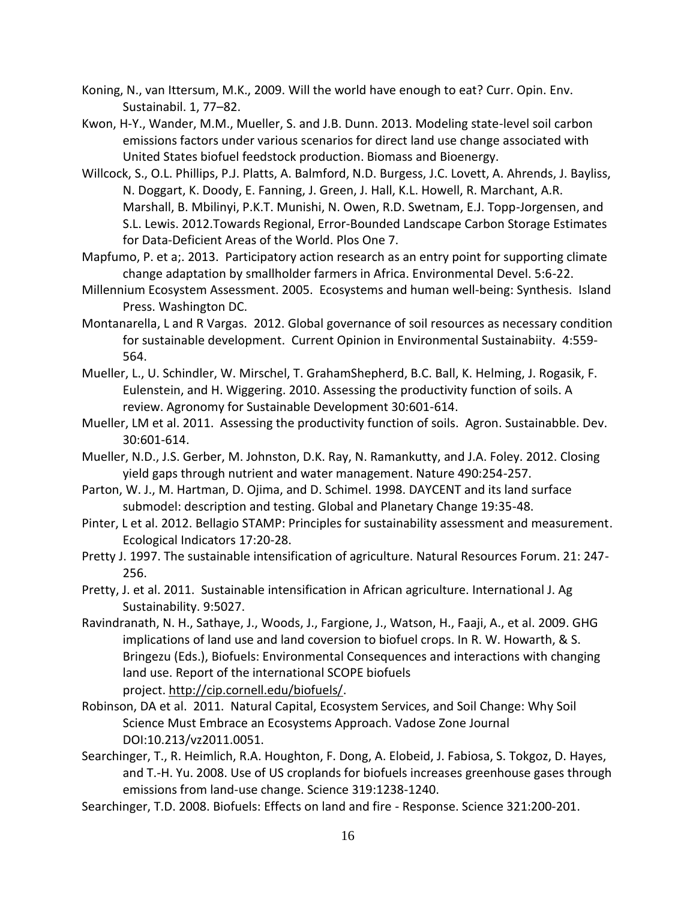- Koning, N., van Ittersum, M.K., 2009. Will the world have enough to eat? Curr. Opin. Env. Sustainabil. 1, 77–82.
- Kwon, H-Y., Wander, M.M., Mueller, S. and J.B. Dunn. 2013. Modeling state-level soil carbon emissions factors under various scenarios for direct land use change associated with United States biofuel feedstock production. Biomass and Bioenergy.
- Willcock, S., O.L. Phillips, P.J. Platts, A. Balmford, N.D. Burgess, J.C. Lovett, A. Ahrends, J. Bayliss, N. Doggart, K. Doody, E. Fanning, J. Green, J. Hall, K.L. Howell, R. Marchant, A.R. Marshall, B. Mbilinyi, P.K.T. Munishi, N. Owen, R.D. Swetnam, E.J. Topp-Jorgensen, and S.L. Lewis. 2012.Towards Regional, Error-Bounded Landscape Carbon Storage Estimates for Data-Deficient Areas of the World. Plos One 7.
- Mapfumo, P. et a;. 2013. Participatory action research as an entry point for supporting climate change adaptation by smallholder farmers in Africa. Environmental Devel. 5:6-22.
- Millennium Ecosystem Assessment. 2005. Ecosystems and human well-being: Synthesis. Island Press. Washington DC.
- Montanarella, L and R Vargas. 2012. Global governance of soil resources as necessary condition for sustainable development. Current Opinion in Environmental Sustainabiity. 4:559- 564.
- Mueller, L., U. Schindler, W. Mirschel, T. GrahamShepherd, B.C. Ball, K. Helming, J. Rogasik, F. Eulenstein, and H. Wiggering. 2010. Assessing the productivity function of soils. A review. Agronomy for Sustainable Development 30:601-614.
- Mueller, LM et al. 2011. Assessing the productivity function of soils. Agron. Sustainabble. Dev. 30:601-614.
- Mueller, N.D., J.S. Gerber, M. Johnston, D.K. Ray, N. Ramankutty, and J.A. Foley. 2012. Closing yield gaps through nutrient and water management. Nature 490:254-257.
- Parton, W. J., M. Hartman, D. Ojima, and D. Schimel. 1998. DAYCENT and its land surface submodel: description and testing. Global and Planetary Change 19:35-48.
- Pinter, L et al. 2012. Bellagio STAMP: Principles for sustainability assessment and measurement. Ecological Indicators 17:20-28.
- Pretty J. 1997. The sustainable intensification of agriculture. Natural Resources Forum. 21: 247- 256.
- Pretty, J. et al. 2011. Sustainable intensification in African agriculture. International J. Ag Sustainability. 9:5027.
- Ravindranath, N. H., Sathaye, J., Woods, J., Fargione, J., Watson, H., Faaji, A., et al. 2009. GHG implications of land use and land coversion to biofuel crops. In R. W. Howarth, & S. Bringezu (Eds.), Biofuels: Environmental Consequences and interactions with changing land use. Report of the international SCOPE biofuels project. [http://cip.cornell.edu/biofuels/.](http://cip.cornell.edu/biofuels/)
- Robinson, DA et al. 2011. Natural Capital, Ecosystem Services, and Soil Change: Why Soil Science Must Embrace an Ecosystems Approach. Vadose Zone Journal DOI:10.213/vz2011.0051.
- Searchinger, T., R. Heimlich, R.A. Houghton, F. Dong, A. Elobeid, J. Fabiosa, S. Tokgoz, D. Hayes, and T.-H. Yu. 2008. Use of US croplands for biofuels increases greenhouse gases through emissions from land-use change. Science 319:1238-1240.
- Searchinger, T.D. 2008. Biofuels: Effects on land and fire Response. Science 321:200-201.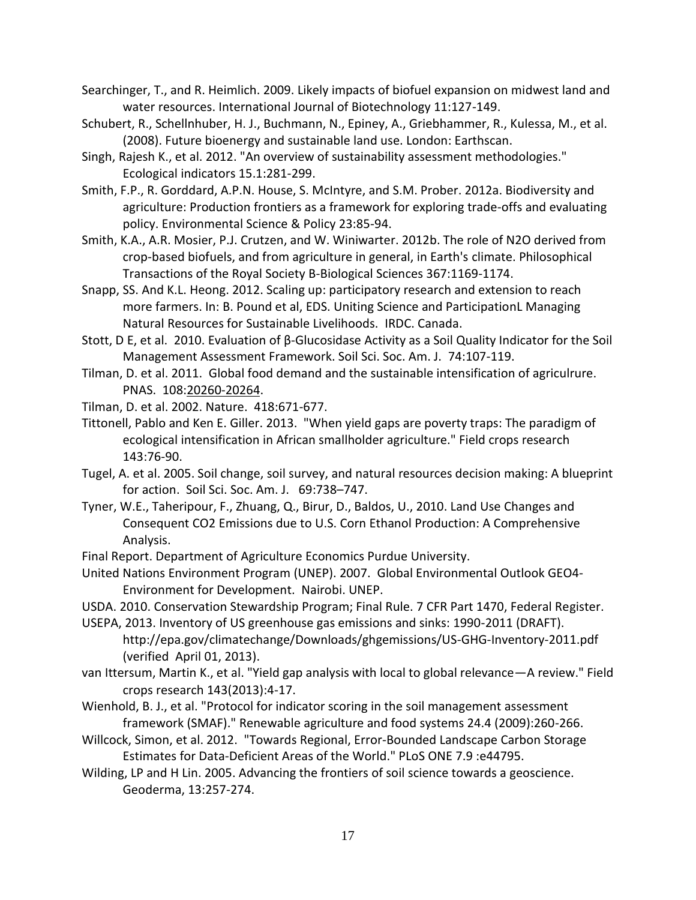- Searchinger, T., and R. Heimlich. 2009. Likely impacts of biofuel expansion on midwest land and water resources. International Journal of Biotechnology 11:127-149.
- Schubert, R., Schellnhuber, H. J., Buchmann, N., Epiney, A., Griebhammer, R., Kulessa, M., et al. (2008). Future bioenergy and sustainable land use. London: Earthscan.
- Singh, Rajesh K., et al. 2012. "An overview of sustainability assessment methodologies." Ecological indicators 15.1:281-299.
- Smith, F.P., R. Gorddard, A.P.N. House, S. McIntyre, and S.M. Prober. 2012a. Biodiversity and agriculture: Production frontiers as a framework for exploring trade-offs and evaluating policy. Environmental Science & Policy 23:85-94.
- Smith, K.A., A.R. Mosier, P.J. Crutzen, and W. Winiwarter. 2012b. The role of N2O derived from crop-based biofuels, and from agriculture in general, in Earth's climate. Philosophical Transactions of the Royal Society B-Biological Sciences 367:1169-1174.
- Snapp, SS. And K.L. Heong. 2012. Scaling up: participatory research and extension to reach more farmers. In: B. Pound et al, EDS. Uniting Science and ParticipationL Managing Natural Resources for Sustainable Livelihoods. IRDC. Canada.
- Stott, D E, et al. 2010. Evaluation of β-Glucosidase Activity as a Soil Quality Indicator for the Soil Management Assessment Framework. Soil Sci. Soc. Am. J. 74:107-119.
- Tilman, D. et al. 2011. Global food demand and the sustainable intensification of agriculrure. PNAS. 108[:20260-20264.](tel:20260-20264)
- Tilman, D. et al. 2002. Nature. 418:671-677.
- Tittonell, Pablo and Ken E. Giller. 2013. "When yield gaps are poverty traps: The paradigm of ecological intensification in African smallholder agriculture." Field crops research 143:76-90.
- Tugel, A. et al. 2005. Soil change, soil survey, and natural resources decision making: A blueprint for action. Soil Sci. Soc. Am. J. 69:738–747.
- Tyner, W.E., Taheripour, F., Zhuang, Q., Birur, D., Baldos, U., 2010. Land Use Changes and Consequent CO2 Emissions due to U.S. Corn Ethanol Production: A Comprehensive Analysis.
- Final Report. Department of Agriculture Economics Purdue University.
- United Nations Environment Program (UNEP). 2007. Global Environmental Outlook GEO4- Environment for Development. Nairobi. UNEP.
- USDA. 2010. Conservation Stewardship Program; Final Rule. 7 CFR Part 1470, Federal Register.
- USEPA, 2013. Inventory of US greenhouse gas emissions and sinks: 1990-2011 (DRAFT). <http://epa.gov/climatechange/Downloads/ghgemissions/US-GHG-Inventory-2011.pdf> (verified April 01, 2013).
- van Ittersum, Martin K., et al. "Yield gap analysis with local to global relevance—A review." Field crops research 143(2013):4-17.
- Wienhold, B. J., et al. "Protocol for indicator scoring in the soil management assessment framework (SMAF)." Renewable agriculture and food systems 24.4 (2009):260-266.
- Willcock, Simon, et al. 2012. "Towards Regional, Error-Bounded Landscape Carbon Storage Estimates for Data-Deficient Areas of the World." PLoS ONE 7.9 :e44795.
- Wilding, LP and H Lin. 2005. Advancing the frontiers of soil science towards a geoscience. Geoderma, 13:257-274.